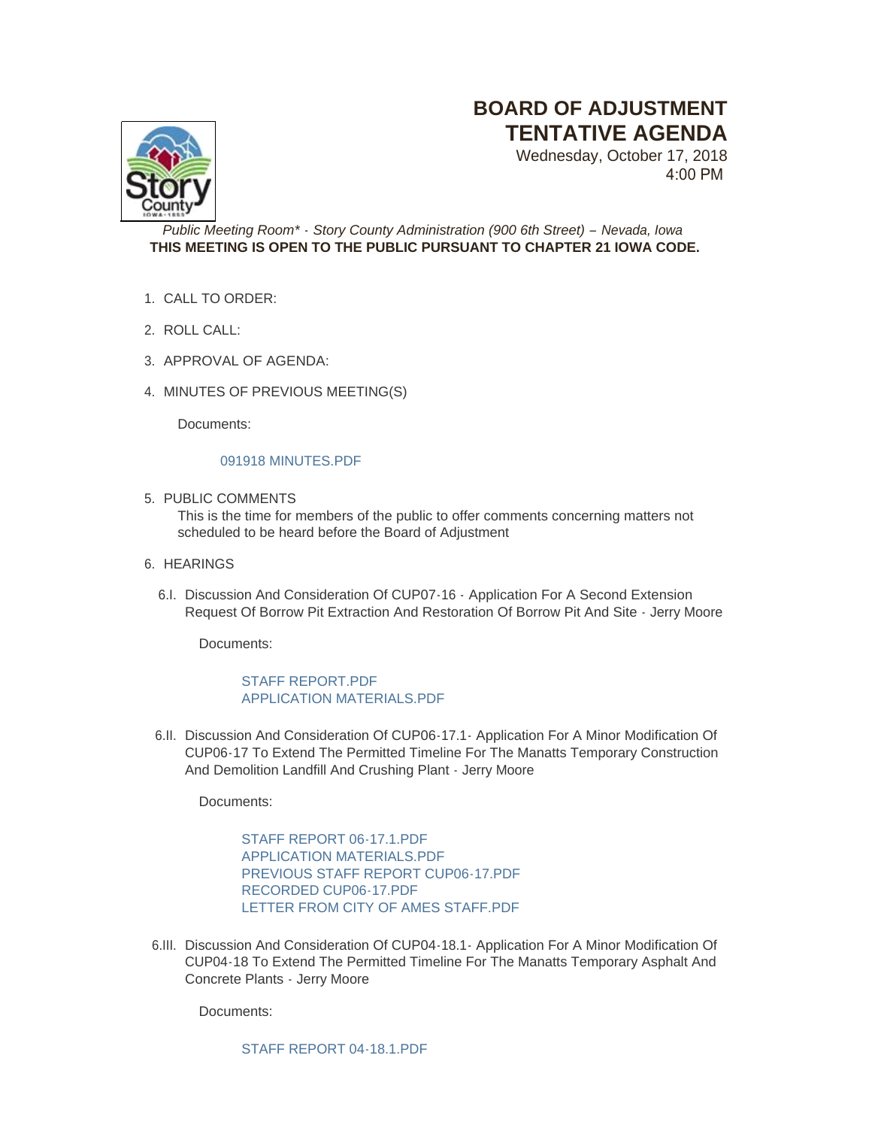# **BOARD OF ADJUSTMENT TENTATIVE AGENDA**

Wednesday, October 17, 2018 4:00 PM



## *Public Meeting Room\* - Story County Administration (900 6th Street) – Nevada, Iowa* **THIS MEETING IS OPEN TO THE PUBLIC PURSUANT TO CHAPTER 21 IOWA CODE.**

- CALL TO ORDER: 1.
- 2. ROLL CALL:
- 3. APPROVAL OF AGENDA:
- 4. MINUTES OF PREVIOUS MEETING(S)

Documents:

## [091918 MINUTES.PDF](http://www.storycountyiowa.gov/AgendaCenter/ViewFile/Item/13007?fileID=9971)

5. PUBLIC COMMENTS

This is the time for members of the public to offer comments concerning matters not scheduled to be heard before the Board of Adjustment

- 6. HEARINGS
	- 6.I. Discussion And Consideration Of CUP07-16 Application For A Second Extension Request Of Borrow Pit Extraction And Restoration Of Borrow Pit And Site - Jerry Moore

Documents:

# [STAFF REPORT.PDF](http://www.storycountyiowa.gov/AgendaCenter/ViewFile/Item/12998?fileID=9973) [APPLICATION MATERIALS.PDF](http://www.storycountyiowa.gov/AgendaCenter/ViewFile/Item/12998?fileID=9969)

6.II. Discussion And Consideration Of CUP06-17.1 - Application For A Minor Modification Of CUP06-17 To Extend The Permitted Timeline For The Manatts Temporary Construction And Demolition Landfill And Crushing Plant - Jerry Moore

Documents:

[STAFF REPORT 06-17.1.PDF](http://www.storycountyiowa.gov/AgendaCenter/ViewFile/Item/12997?fileID=9964) [APPLICATION MATERIALS.PDF](http://www.storycountyiowa.gov/AgendaCenter/ViewFile/Item/12997?fileID=9967) [PREVIOUS STAFF REPORT CUP06-17.PDF](http://www.storycountyiowa.gov/AgendaCenter/ViewFile/Item/12997?fileID=9965) [RECORDED CUP06-17.PDF](http://www.storycountyiowa.gov/AgendaCenter/ViewFile/Item/12997?fileID=9966) [LETTER FROM CITY OF AMES STAFF.PDF](http://www.storycountyiowa.gov/AgendaCenter/ViewFile/Item/12997?fileID=9977)

6.III. Discussion And Consideration Of CUP04-18.1 - Application For A Minor Modification Of CUP04-18 To Extend The Permitted Timeline For The Manatts Temporary Asphalt And Concrete Plants - Jerry Moore

Documents:

[STAFF REPORT 04-18.1.PDF](http://www.storycountyiowa.gov/AgendaCenter/ViewFile/Item/12996?fileID=9960)